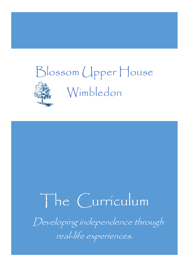# Blossom Upper House Wimbledon

# The Curriculum

Developing independence through real-life experiences.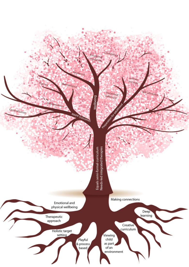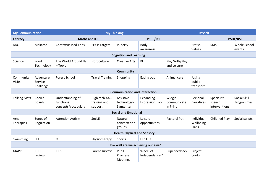| <b>My Communication</b>              |                                   |                                                       | <b>My Thinking</b>                       |                                       |                                     |                                   | <b>Myself</b>                    |                                       |                            |
|--------------------------------------|-----------------------------------|-------------------------------------------------------|------------------------------------------|---------------------------------------|-------------------------------------|-----------------------------------|----------------------------------|---------------------------------------|----------------------------|
| Literacy                             |                                   | <b>Maths and ICT</b>                                  |                                          | <b>PSHE/RSE</b>                       |                                     |                                   | <b>PSHE/RSE</b>                  |                                       |                            |
| AAC                                  | Makaton                           | <b>Contextualised Trips</b>                           | <b>EHCP Targets</b>                      | Puberty                               | Body<br>awareness                   |                                   | <b>British</b><br>Values         | SMSC                                  | Whole School<br>events     |
|                                      |                                   |                                                       |                                          | <b>Cognition and Learning</b>         |                                     |                                   |                                  |                                       |                            |
| Science                              | Food<br>Technology                | The World Around Us<br>- Topic                        | Horticulture                             | <b>Creative Arts</b>                  | PE                                  | Play Skills/Play<br>and Leisure   |                                  |                                       |                            |
|                                      |                                   |                                                       |                                          | <b>Community</b>                      |                                     |                                   |                                  |                                       |                            |
| Community<br><b>Visits</b>           | Adventure<br>Service<br>Challenge | <b>Forest School</b>                                  | <b>Travel Training</b>                   | Shopping                              | Eating out                          | Animal care                       | Using<br>public<br>transport     |                                       |                            |
| <b>Communication and Interaction</b> |                                   |                                                       |                                          |                                       |                                     |                                   |                                  |                                       |                            |
| <b>Talking Mats</b>                  | Choice<br>boards                  | Understanding of<br>functional<br>concepts/vocabulary | High tech AAC<br>training and<br>support | Assistive<br>technology-<br>Symwriter | Expanding<br><b>Expression Tool</b> | Widgit<br>Communicate<br>in Print | Personal<br>narratives           | Specialist<br>speech<br>interventions | Social Skill<br>Programmes |
|                                      |                                   |                                                       |                                          | <b>Social and Emotional</b>           |                                     |                                   |                                  |                                       |                            |
| Arts<br>Therapies                    | Zones of<br>Regulation            | <b>Attention Autism</b>                               | SmiLE                                    | Natural<br>conversation<br>groups     | Leisure<br>opportunities            | Pastoral Pet                      | Individual<br>Wellbeing<br>Plans | Child-led Play                        | Social scripts             |
| <b>Health Physical and Sensory</b>   |                                   |                                                       |                                          |                                       |                                     |                                   |                                  |                                       |                            |
| Swimming                             | <b>SLT</b>                        | OT                                                    | Physiotherapy                            | Sports                                | Flip Out                            |                                   |                                  |                                       |                            |
| How well are we achieving our aim?   |                                   |                                                       |                                          |                                       |                                     |                                   |                                  |                                       |                            |
| <b>MAPP</b>                          | <b>EHCP</b><br>reviews            | <b>IEPS</b>                                           | Parent surveys                           | Pupil<br>Progress<br>Meetings         | Wheel of<br>Independence™           | Pupil feedback                    | Project<br>books                 |                                       |                            |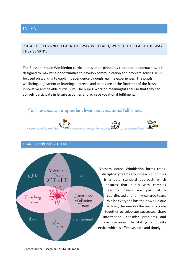# INTENT

# "IF A CHILD CANNOT LEARN THE WAY WE TEACH, WE SHOULD TEACH THE WAY THEY LEARN".

The Blossom House Wimbledon curriculum is underpinned by therapeutic approaches. It is designed to maximise opportunities to develop communication and problem-solving skills, focused on working towards independence through real life experiences. The pupils' wellbeing, enjoyment of learning, interests and needs are at the forefront of the fresh, innovative and flexible curriculum. The pupils' work on meaningful goals so that they can actively participate in leisure activities and achieve vocational fulfilment.

# Self-advocacy, independent living and vocational fulfilment.



#### TRANSDISCIPLINARY TEAM



Blossom House Wimbledon forms transdisciplinary teams around each pupil. This is a gold standard approach which ensures that pupils with complex learning needs are part of a coordinated and family-centred team. Whilst everyone has their own unique skill-set, this enables the team to come together to celebrate successes, share information, consider problems and make decisions, facilitating a quality service which is effective, safe and timely.

Based on the Gascgoine (2006) TDT model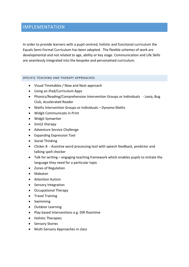# IMPLEMENTATION

In order to provide learners with a pupil centred, holistic and functional curriculum the Equals Semi-Formal Curriculum has been adopted. The flexible schemes of work are developmental and not related to age, ability or key stage. Communication and Life Skills are seamlessly integrated into the bespoke and personalised curriculum.

#### SPECIFIC TEACHING AND THERAPY APPROACHES

- Visual Timetables / Now and Next approach
- Using an iPad/Curriculum Apps
- Phonics/Reading/Comprehension Intervention Groups or Individuals Lexia, Bug Club, Accelerated Reader
- Maths Intervention Groups or Individuals Dynamo Maths
- Widgit Communicate in Print
- Widgit Symwriter
- SmiLE therapy
- Adventure Service Challenge
- Expanding Expression Tool
- Social Thinking
- Clicker 8 Assistive word processing tool with speech feedback, predictor and talking spell checker
- Talk for writing engaging teaching framework which enables pupils to imitate the language they need for a particular topic
- Zones of Regulation
- Makaton
- Attention Autism
- Sensory Integration
- Occupational Therapy
- **•** Travel Training
- Swimming
- Outdoor Learning
- Play based Interventions e.g. DIR floortime
- Holistic Therapies
- Sensory Stories
- Multi-Sensory Approaches in class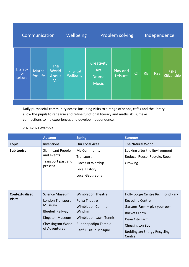|                                                                                       |                       | Wellbeing<br>Problem solving               |                     |            | Independence |            |                            |
|---------------------------------------------------------------------------------------|-----------------------|--------------------------------------------|---------------------|------------|--------------|------------|----------------------------|
| The<br>Literacy<br>World<br><b>Maths</b><br>for<br>for Life<br>About<br>Leisure<br>Me | Physical<br>Wellbeing | Creativity<br>Art<br>Drama<br><b>Music</b> | Play and<br>Leisure | <b>ICT</b> | <b>RE</b>    | <b>RSE</b> | <b>PSHE</b><br>Citizenship |

Daily purposeful community access including visits to a range of shops, cafés and the library allow the pupils to rehearse and refine functional literacy and maths skills, make connections to life experiences and develop independence.

# 2020-2021 example

|                                        | <b>Autumn</b>                                                                                                                           | <b>Spring</b>                                                                                                                                                   | <b>Summer</b>                                                                                                                                                                                           |
|----------------------------------------|-----------------------------------------------------------------------------------------------------------------------------------------|-----------------------------------------------------------------------------------------------------------------------------------------------------------------|---------------------------------------------------------------------------------------------------------------------------------------------------------------------------------------------------------|
| <b>Topic</b>                           | Inventions                                                                                                                              | Our Local Area                                                                                                                                                  | The Natural World                                                                                                                                                                                       |
| <b>Sub topics</b>                      | Significant People<br>and events<br>Transport past and<br>present                                                                       | My Community<br>Transport<br>Places of Worship<br>Local History<br>Local Geography                                                                              | Looking after the Environment<br>Reduce, Reuse, Recycle, Repair<br>Growing                                                                                                                              |
| <b>Contextualised</b><br><b>Visits</b> | <b>Science Museum</b><br>London Transport<br>Museum<br><b>Bluebell Railway</b><br>Kingston Museum<br>Chessington World<br>of Adventures | <b>Wimbledon Theatre</b><br>Polka Theatre<br>Wimbledon Common<br>Windmill<br>Wimbledon Lawn Tennis<br><b>Buddhapadipa Temple</b><br><b>Baitful Futuh Mosque</b> | Holly Lodge Centre Richmond Park<br><b>Recycling Centre</b><br>Garsons Farm - pick your own<br><b>Bockets Farm</b><br>Dean City Farm<br>Chessington Zoo<br><b>Beddington Energy Recycling</b><br>Centre |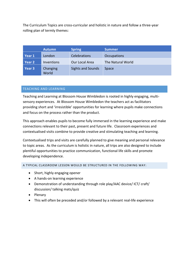The Curriculum Topics are cross-curricular and holistic in nature and follow a three-year rolling plan of termly themes:

|        | Autumn            | <b>Spring</b>            | <b>Summer</b>      |
|--------|-------------------|--------------------------|--------------------|
| Year 1 | London            | <b>Celebrations</b>      | <b>Occupations</b> |
| Year 2 | <b>Inventions</b> | Our Local Area           | The Natural World  |
| Year 3 | Changing<br>World | <b>Sights and Sounds</b> | Space              |

# TEACHING AND LEARNING

Teaching and Learning at Blossom House Wimbledon is rooted in highly engaging, multisensory experiences. At Blossom House Wimbledon the teachers act as facilitators providing short and 'irresistible' opportunities for learning where pupils make connections and focus on the process rather than the product.

This approach enables pupils to become fully immersed in the learning experience and make connections relevant to their past, present and future life. Classroom experiences and contextualised visits combine to provide creative and stimulating teaching and learning.

Contextualised trips and visits are carefully planned to give meaning and personal relevance to topic areas. As the curriculum is holistic in nature, all trips are also designed to include plentiful opportunities to practice communication, functional life skills and promote developing independence.

A TYPICAL CLASSROOM LESSON WOULD BE STRUCTURED IN THE FOLLOWING WAY:

- Short, highly engaging opener
- A hands-on learning experience
- Demonstration of understanding through role play/AAC device/ ICT/ craft/ discussion/ talking mats/quiz
- Plenary
- This will often be preceded and/or followed by a relevant real-life experience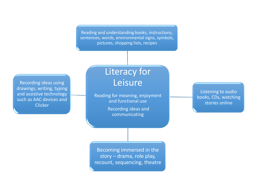Reading and understanding books, instructions, sentences, words, environmental signs, symbols, pictures, shopping lists, recipes

Recording ideas using drawings, writing, typing and assistive technology such as AAC devices and **Clicker** 

# Literacy for Leisure

Reading for meaning, enjoyment and functional use

> Recording ideas and communicating

Listening to audio books, CDs, watching stories online

Becoming immersed in the story – drama, role play, recount, sequencing, theatre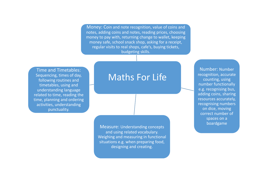Money: Coin and note recognition, value of coins and notes, adding coins and notes, reading prices, choosing money to pay with, returning change to wallet, keeping money safe, school snack shop, asking for a receipt, regular visits to real shops, cafe's, buying tickets, budgeting skills.

Time and Timetables: Sequencing, times of day, following routines and timetables, using and understanding language related to time, reading the time, planning and ordering activities, understanding punctuality.

# Maths For Life

Measure: Understanding concepts and using related vocabulary. Weighing and measuring in functional situations e.g. when preparing food, designing and creating.

Number: Number recognition, accurate counting, using number functionally e.g. recognising bus, adding coins, sharing resources accurately, recognising numbers on dice, moving correct number of spaces on a boardgame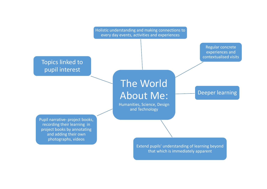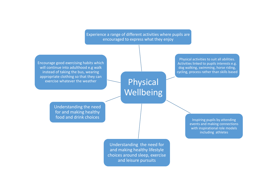Experience a range of different activities where pupils are encouraged to express what they enjoy

Encourage good exercising habits which will continue into adulthood e.g walk instead of taking the bus, wearing appropriate clothing so that they can exercise whatever the weather

Physical activities to suit all abilities. Activities linked to pupils interests e.g. dog walking, swimming, horse riding, cycling, process rather than skills based

Physical Wellbeing

Understanding the need for and making healthy food and drink choices

Inspiring pupils by attending events and making connections with inspirational role models including athletes

Understanding the need for and making healthy lifestyle choices around sleep, exercise and leisure pursuits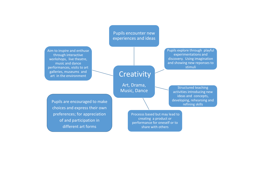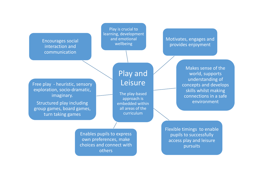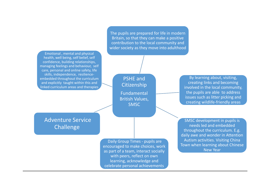Emotional , mental and physical health, well being, self belief, self confidence, building relationships, managing feelings and behaviour, self care, personal and online safety, life skills, independence, resilienceembedded throughout the curriculum and explicitly taught within this and linked curriculum areas and therapies

The pupils are prepared for life in modern Britain, so that they can make a positive contribution to the local community and wider society as they move into adulthood

> PSHE and **Citizenship** Fundamental British Values, SMSC

By learning about, visiting, creating links and becoming involved in the local community, the pupils are able to address issues such as litter picking and creating wildlife-friendly areas

Adventure Service Challenge

> Daily Group Times - pupils are encouraged to make choices, work as part of a team, interact socially with peers, reflect on own learning, acknowledge and celebrate personal achievements

SMSC development in pupils is needs led and embedded throughout the curriculum. E.g. daily awe and wonder in Attention Autism activities. Visiting China Town when learning about Chinese New Year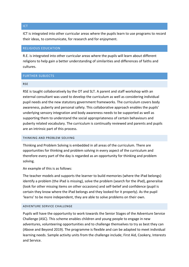# their ideas, to communicate, for research and for enjoyment.

# RELIGIOUS EDUCATION

R.E. is integrated into other curricular areas where the pupils will learn about different religions to help gain a better understanding of similarities and differences of faiths and cultures.

ICT is integrated into other curricular areas where the pupils learn to use programs to record

# FURTHER SUBJECTS

## RSE

RSE is taught collaboratively by the OT and SLT. A parent and staff workshop with an external consultant was used to develop the curriculum as well as considering individual pupil needs and the new statutory government frameworks. The curriculum covers body awareness, puberty and personal safety. This collaborative approach enables the pupils' underlying sensory integration and body awareness needs to be supported as well as supporting them to understand the social appropriateness of certain behaviours and puberty related vocabulary. The curriculum is continually reviewed and parents and pupils are an intrinsic part of this process.

## THINKING AND PROBLEM SOLVING

Thinking and Problem Solving is embedded in all areas of the curriculum. There are opportunities for thinking and problem solving in every aspect of the curriculum and therefore every part of the day is regarded as an opportunity for thinking and problem solving.

An example of this is as follows:

The teacher models and supports the learner to build memories (where the iPad belongs) identify a problem (the iPad is missing), solve the problem (search for the iPad), generalise (look for other missing items on other occasions) and self-belief and confidence (pupil is certain they know where the iPad belongs and they looked for it properly). As the pupil 'learns' to be more independent, they are able to solve problems on their own.

## ADVENTURE SERVICE CHALLENGE

Pupils will have the opportunity to work towards the Senior Stages of the Adventure Service Challenge (ASC). This scheme enables children and young people to engage in new adventures, volunteering opportunities and to challenge themselves to try as best they can (Above and Beyond 2019). The programme is flexible and can be adapted to meet individual learning needs. Sample activity units from the challenge include; First Aid, Cookery, Interests and Service.

#### ICT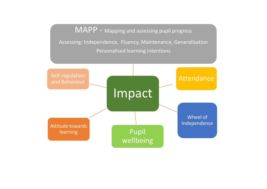MAPP - Mapping and assessing pupil progress Assessing: Independence, Fluency, Maintenance, Generalisation Personalised learning intentions

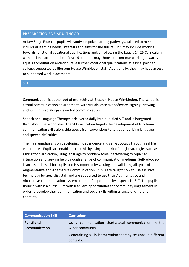# PREPARATION FOR ADULTHOOD

At Key Stage Four the pupils will study bespoke learning pathways, tailored to meet individual learning needs, interests and aims for the future. This may include working towards functional vocational qualifications and/or following the Equals 14-25 Curriculum with optional accreditation. Post 16 students may choose to continue working towards Equals accreditation and/or pursue further vocational qualifications at a local partner college, supported by Blossom House Wimbledon staff. Additionally, they may have access to supported work placements.

## SLT

Communication is at the root of everything at Blossom House Wimbledon. The school is a total communication environment, with visuals, assistive software, signing, drawing and writing used alongside verbal communication.

Speech and Language Therapy is delivered daily by a qualified SLT and is integrated throughout the school day. The SLT curriculum targets the development of functional communication skills alongside specialist interventions to target underlying language and speech difficulties.

The main emphasis is on developing independence and self-advocacy through real life experiences. Pupils are enabled to do this by using a toolkit of taught strategies such as asking for clarification, using language to problem solve, persevering to repair an interaction and seeking help through a range of communication mediums. Self-advocacy is an essential skill for pupils and is supported by valuing and validating all types of Augmentative and Alternative Communication. Pupils are taught how to use assistive technology by specialist staff and are supported to use their Augmentative and Alternative communication systems to their full potential by a specialist SLT. The pupils flourish within a curriculum with frequent opportunities for community engagement in order to develop their communication and social skills within a range of different contexts.

| <b>Communication Skill</b>                | <b>Curriculum</b>                                                                                                                                        |
|-------------------------------------------|----------------------------------------------------------------------------------------------------------------------------------------------------------|
| <b>Functional</b><br><b>Communication</b> | Using communication charts/total communication in the<br>wider community<br>Generalising skills learnt within therapy sessions in different<br>contexts. |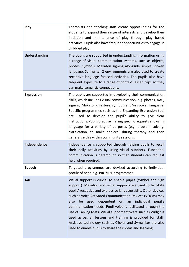| Play                 | Therapists and teaching staff create opportunities for the<br>students to expand their range of interests and develop their<br>initiation and maintenance of play through play based<br>activities. Pupils also have frequent opportunities to engage in<br>child-led play.                                                                                                                                                                                                                                                                                                                                                                                    |
|----------------------|----------------------------------------------------------------------------------------------------------------------------------------------------------------------------------------------------------------------------------------------------------------------------------------------------------------------------------------------------------------------------------------------------------------------------------------------------------------------------------------------------------------------------------------------------------------------------------------------------------------------------------------------------------------|
| <b>Understanding</b> | The pupils are supported in understanding information using<br>a range of visual communication systems, such as objects,<br>photos, symbols, Makaton signing alongside simple spoken<br>language. Symwriter 2 environments are also used to create<br>receptive language focused activities. The pupils also have<br>frequent exposure to a range of contextualised trips so they<br>can make semantic connections.                                                                                                                                                                                                                                            |
| <b>Expression</b>    | The pupils are supported in developing their communication<br>skills, which includes visual communication, e.g. photos, AAC,<br>signing (Makaton), gesture, symbols and/or spoken language.<br>Specific programmes such as the Expanding Expression tool<br>are used to develop the pupil's ability to give clear<br>instructions. Pupils practise making specific requests and using<br>language for a variety of purposes (e.g. problem solving,<br>clarification, to make choices) during therapy and then<br>generalise this within community sessions.                                                                                                    |
| Independence         | Independence is supported through helping pupils to recall<br>their daily activities by using visual supports. Functional<br>communication is paramount so that students can request<br>help when required.                                                                                                                                                                                                                                                                                                                                                                                                                                                    |
| <b>Speech</b>        | Targeted programmes are devised according to individual<br>profile of need e.g. PROMPT programmes.                                                                                                                                                                                                                                                                                                                                                                                                                                                                                                                                                             |
| <b>AAC</b>           | Visual support is crucial to enable pupils (symbol and sign<br>support). Makaton and visual supports are used to facilitate<br>pupils' receptive and expressive language skills. Other devices<br>such as Voice Activated Communication Devices (VOCAs) may<br>dependent<br>used<br>on<br>individual<br>also<br>be<br>an<br>pupil's<br>communication needs. Pupil voice is facilitated through the<br>use of Talking Mats. Visual support software such as Widgit is<br>used across all lessons and training is provided for staff.<br>Assistive technology such as Clicker and Symwriter are also<br>used to enable pupils to share their ideas and learning. |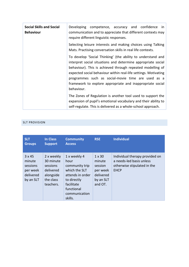| <b>Social Skills and Social</b><br><b>Behaviour</b> | Developing competence, accuracy and confidence<br>in<br>communication and to appreciate that different contexts may<br>require different linguistic responses.                                                                                                                                                                                                                                |  |  |  |  |
|-----------------------------------------------------|-----------------------------------------------------------------------------------------------------------------------------------------------------------------------------------------------------------------------------------------------------------------------------------------------------------------------------------------------------------------------------------------------|--|--|--|--|
|                                                     | Selecting leisure interests and making choices using Talking<br>Mats. Practising conversation skills in real life contexts.                                                                                                                                                                                                                                                                   |  |  |  |  |
|                                                     | To develop 'Social Thinking' (the ability to understand and<br>interpret social situations and determine appropriate social<br>behaviour). This is achieved through repeated modelling of<br>expected social behaviour within real-life settings. Motivating<br>programmes such as social-movie time are used as a<br>framework to explore appropriate and inappropriate social<br>behaviour. |  |  |  |  |
|                                                     | The Zones of Regulation is another tool used to support the<br>expansion of pupil's emotional vocabulary and their ability to<br>self-regulate. This is delivered as a whole-school approach.                                                                                                                                                                                                 |  |  |  |  |

# SLT PROVISION

| <b>SLT</b><br><b>Groups</b>                                      | <b>In Class</b><br><b>Support</b>                                                       | <b>Community</b><br><b>Access</b>                                                                                                                  | <b>RSE</b>                                                                          | <b>Individual</b>                                                                                        |
|------------------------------------------------------------------|-----------------------------------------------------------------------------------------|----------------------------------------------------------------------------------------------------------------------------------------------------|-------------------------------------------------------------------------------------|----------------------------------------------------------------------------------------------------------|
| 3x45<br>minute<br>sessions<br>per week<br>delivered<br>by an SLT | 2 x weekly<br>30 minute<br>sessions<br>delivered<br>alongside<br>the class<br>teachers. | 1 x weekly 4<br>hour<br>community trip<br>which the SLT<br>attends in order<br>to directly<br>facilitate<br>functional<br>communication<br>skills. | $1 \times 30$<br>minute<br>session<br>per week<br>delivered<br>by an SLT<br>and OT. | Individual therapy provided on<br>a needs-led basis unless<br>otherwise stipulated in the<br><b>EHCP</b> |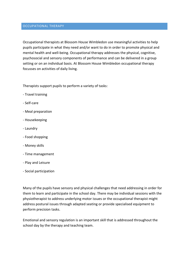#### OCCUPATIONAL THERAPY

Occupational therapists at Blossom House Wimbledon use meaningful activities to help pupils participate in what they need and/or want to do in order to promote physical and mental health and well-being. Occupational therapy addresses the physical, cognitive, psychosocial and sensory components of performance and can be delivered in a group setting or on an individual basis. At Blossom House Wimbledon occupational therapy focusses on activities of daily living.

Therapists support pupils to perform a variety of tasks:

- Travel training
- Self-care
- Meal preparation
- Housekeeping
- Laundry
- Food shopping
- Money skills
- Time management
- Play and Leisure
- Social participation

Many of the pupils have sensory and physical challenges that need addressing in order for them to learn and participate in the school day. There may be individual sessions with the physiotherapist to address underlying motor issues or the occupational therapist might address postural issues through adapted seating or provide specialised equipment to perform precision tasks.

Emotional and sensory regulation is an important skill that is addressed throughout the school day by the therapy and teaching team.